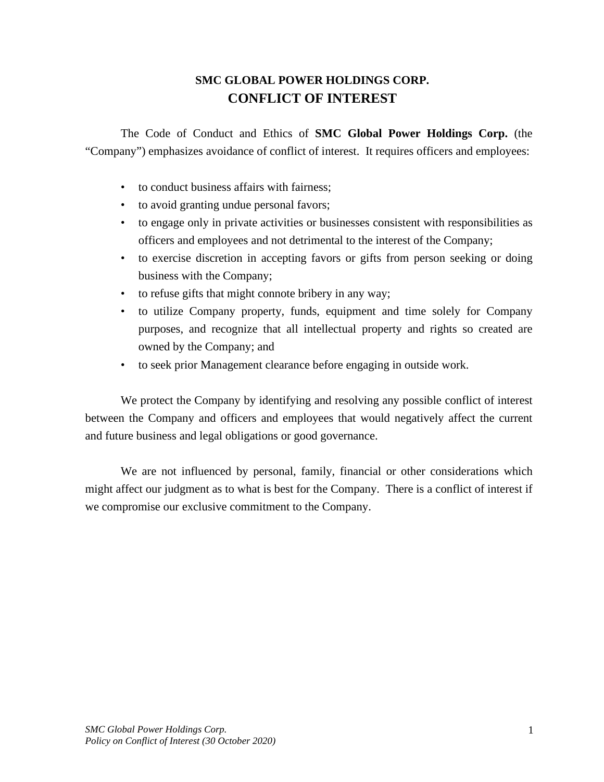# **SMC GLOBAL POWER HOLDINGS CORP. CONFLICT OF INTEREST**

The Code of Conduct and Ethics of **SMC Global Power Holdings Corp.** (the "Company") emphasizes avoidance of conflict of interest. It requires officers and employees:

- to conduct business affairs with fairness;
- to avoid granting undue personal favors;
- to engage only in private activities or businesses consistent with responsibilities as officers and employees and not detrimental to the interest of the Company;
- to exercise discretion in accepting favors or gifts from person seeking or doing business with the Company;
- to refuse gifts that might connote bribery in any way;
- to utilize Company property, funds, equipment and time solely for Company purposes, and recognize that all intellectual property and rights so created are owned by the Company; and
- to seek prior Management clearance before engaging in outside work.

We protect the Company by identifying and resolving any possible conflict of interest between the Company and officers and employees that would negatively affect the current and future business and legal obligations or good governance.

We are not influenced by personal, family, financial or other considerations which might affect our judgment as to what is best for the Company. There is a conflict of interest if we compromise our exclusive commitment to the Company.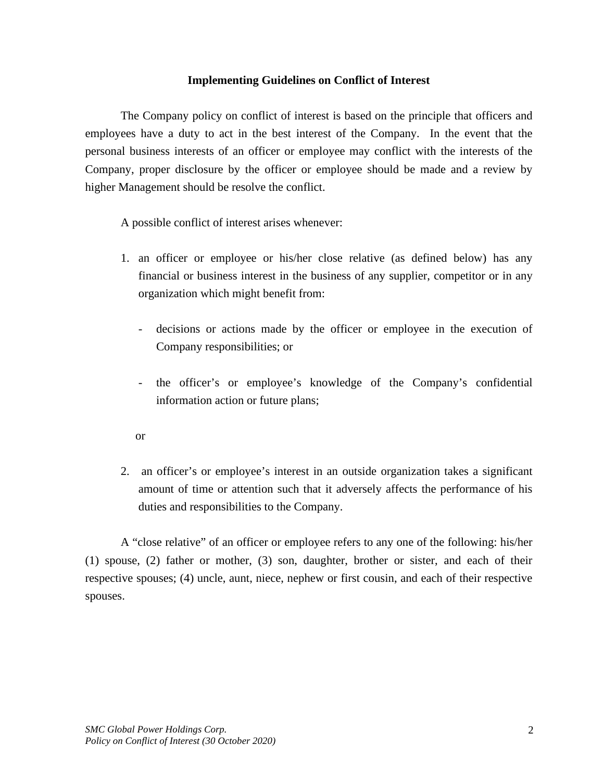### **Implementing Guidelines on Conflict of Interest**

The Company policy on conflict of interest is based on the principle that officers and employees have a duty to act in the best interest of the Company. In the event that the personal business interests of an officer or employee may conflict with the interests of the Company, proper disclosure by the officer or employee should be made and a review by higher Management should be resolve the conflict.

A possible conflict of interest arises whenever:

- 1. an officer or employee or his/her close relative (as defined below) has any financial or business interest in the business of any supplier, competitor or in any organization which might benefit from:
	- decisions or actions made by the officer or employee in the execution of Company responsibilities; or
	- the officer's or employee's knowledge of the Company's confidential information action or future plans;
	- or
- 2. an officer's or employee's interest in an outside organization takes a significant amount of time or attention such that it adversely affects the performance of his duties and responsibilities to the Company.

A "close relative" of an officer or employee refers to any one of the following: his/her (1) spouse, (2) father or mother, (3) son, daughter, brother or sister, and each of their respective spouses; (4) uncle, aunt, niece, nephew or first cousin, and each of their respective spouses.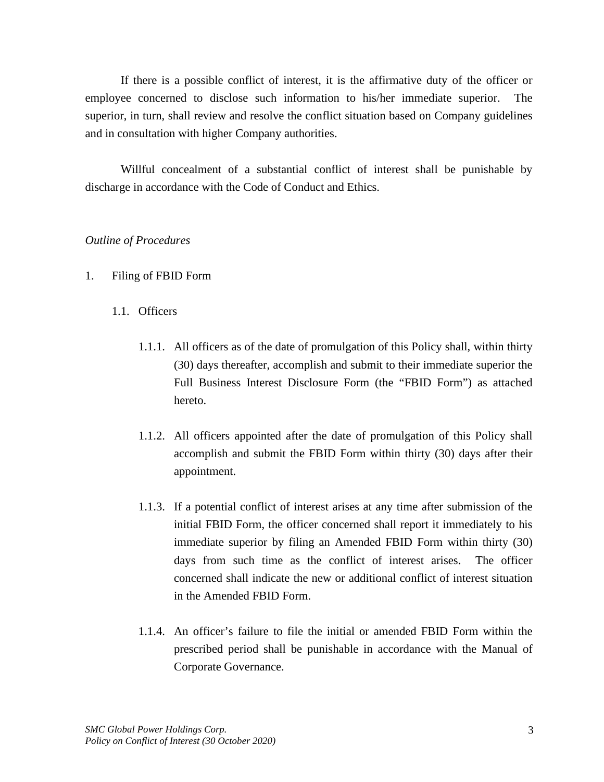If there is a possible conflict of interest, it is the affirmative duty of the officer or employee concerned to disclose such information to his/her immediate superior. The superior, in turn, shall review and resolve the conflict situation based on Company guidelines and in consultation with higher Company authorities.

Willful concealment of a substantial conflict of interest shall be punishable by discharge in accordance with the Code of Conduct and Ethics.

### *Outline of Procedures*

- 1. Filing of FBID Form
	- 1.1. Officers
		- 1.1.1. All officers as of the date of promulgation of this Policy shall, within thirty (30) days thereafter, accomplish and submit to their immediate superior the Full Business Interest Disclosure Form (the "FBID Form") as attached hereto.
		- 1.1.2. All officers appointed after the date of promulgation of this Policy shall accomplish and submit the FBID Form within thirty (30) days after their appointment.
		- 1.1.3. If a potential conflict of interest arises at any time after submission of the initial FBID Form, the officer concerned shall report it immediately to his immediate superior by filing an Amended FBID Form within thirty (30) days from such time as the conflict of interest arises. The officer concerned shall indicate the new or additional conflict of interest situation in the Amended FBID Form.
		- 1.1.4. An officer's failure to file the initial or amended FBID Form within the prescribed period shall be punishable in accordance with the Manual of Corporate Governance.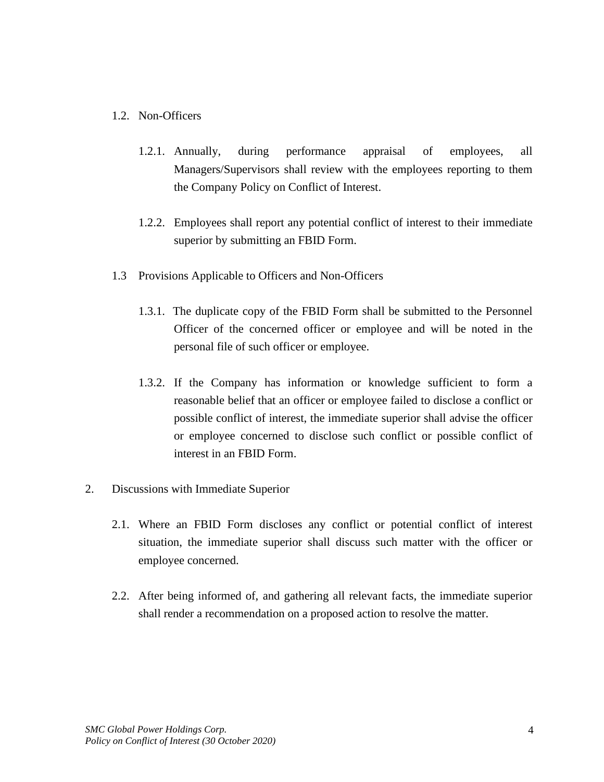### 1.2. Non-Officers

- 1.2.1. Annually, during performance appraisal of employees, all Managers/Supervisors shall review with the employees reporting to them the Company Policy on Conflict of Interest.
- 1.2.2. Employees shall report any potential conflict of interest to their immediate superior by submitting an FBID Form.
- 1.3 Provisions Applicable to Officers and Non-Officers
	- 1.3.1. The duplicate copy of the FBID Form shall be submitted to the Personnel Officer of the concerned officer or employee and will be noted in the personal file of such officer or employee.
	- 1.3.2. If the Company has information or knowledge sufficient to form a reasonable belief that an officer or employee failed to disclose a conflict or possible conflict of interest, the immediate superior shall advise the officer or employee concerned to disclose such conflict or possible conflict of interest in an FBID Form.
- 2. Discussions with Immediate Superior
	- 2.1. Where an FBID Form discloses any conflict or potential conflict of interest situation, the immediate superior shall discuss such matter with the officer or employee concerned.
	- 2.2. After being informed of, and gathering all relevant facts, the immediate superior shall render a recommendation on a proposed action to resolve the matter.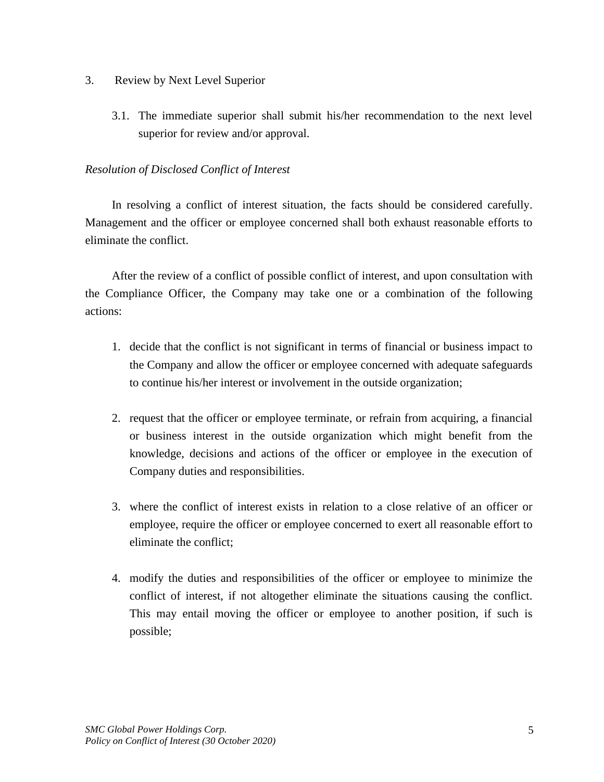- 3. Review by Next Level Superior
	- 3.1. The immediate superior shall submit his/her recommendation to the next level superior for review and/or approval.

### *Resolution of Disclosed Conflict of Interest*

In resolving a conflict of interest situation, the facts should be considered carefully. Management and the officer or employee concerned shall both exhaust reasonable efforts to eliminate the conflict.

After the review of a conflict of possible conflict of interest, and upon consultation with the Compliance Officer, the Company may take one or a combination of the following actions:

- 1. decide that the conflict is not significant in terms of financial or business impact to the Company and allow the officer or employee concerned with adequate safeguards to continue his/her interest or involvement in the outside organization;
- 2. request that the officer or employee terminate, or refrain from acquiring, a financial or business interest in the outside organization which might benefit from the knowledge, decisions and actions of the officer or employee in the execution of Company duties and responsibilities.
- 3. where the conflict of interest exists in relation to a close relative of an officer or employee, require the officer or employee concerned to exert all reasonable effort to eliminate the conflict;
- 4. modify the duties and responsibilities of the officer or employee to minimize the conflict of interest, if not altogether eliminate the situations causing the conflict. This may entail moving the officer or employee to another position, if such is possible;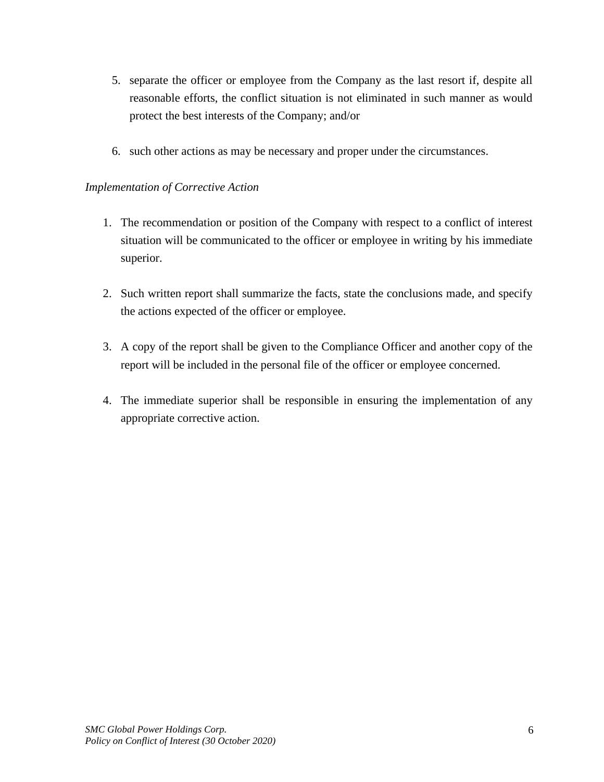- 5. separate the officer or employee from the Company as the last resort if, despite all reasonable efforts, the conflict situation is not eliminated in such manner as would protect the best interests of the Company; and/or
- 6. such other actions as may be necessary and proper under the circumstances.

### *Implementation of Corrective Action*

- 1. The recommendation or position of the Company with respect to a conflict of interest situation will be communicated to the officer or employee in writing by his immediate superior.
- 2. Such written report shall summarize the facts, state the conclusions made, and specify the actions expected of the officer or employee.
- 3. A copy of the report shall be given to the Compliance Officer and another copy of the report will be included in the personal file of the officer or employee concerned.
- 4. The immediate superior shall be responsible in ensuring the implementation of any appropriate corrective action.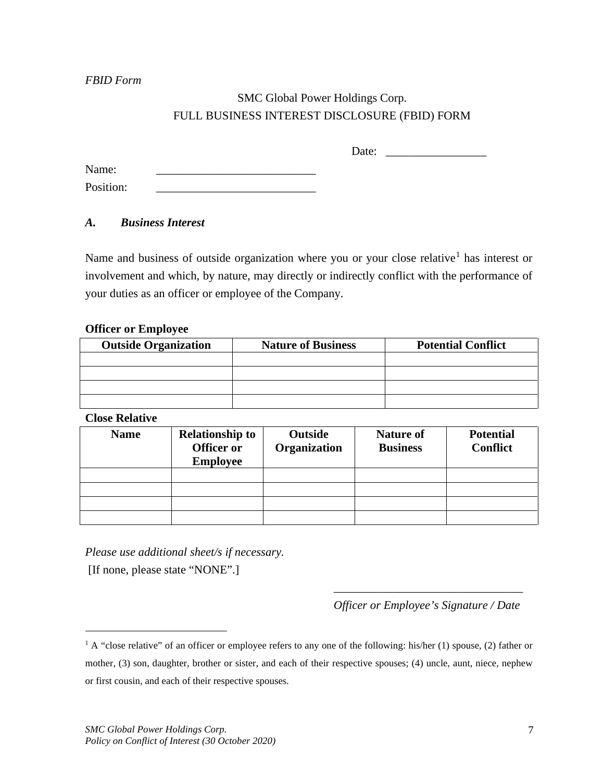*FBID Form*

## SMC Global Power Holdings Corp. FULL BUSINESS INTEREST DISCLOSURE (FBID) FORM

Date: \_\_\_\_\_\_\_\_\_\_\_\_\_\_\_\_\_

Name: Position:

## *A. Business Interest*

Name and business of outside organization where you or your close relative<sup>[1](#page-6-0)</sup> has interest or involvement and which, by nature, may directly or indirectly conflict with the performance of your duties as an officer or employee of the Company.

### **Officer or Employee**

| <b>Outside Organization</b> | <b>Nature of Business</b> | <b>Potential Conflict</b> |  |
|-----------------------------|---------------------------|---------------------------|--|
|                             |                           |                           |  |
|                             |                           |                           |  |
|                             |                           |                           |  |
|                             |                           |                           |  |

#### **Close Relative**

| <b>Name</b> | <b>Relationship to</b><br>Officer or<br><b>Employee</b> | Outside<br>Organization | <b>Nature of</b><br><b>Business</b> | <b>Potential</b><br><b>Conflict</b> |
|-------------|---------------------------------------------------------|-------------------------|-------------------------------------|-------------------------------------|
|             |                                                         |                         |                                     |                                     |
|             |                                                         |                         |                                     |                                     |
|             |                                                         |                         |                                     |                                     |
|             |                                                         |                         |                                     |                                     |

*Please use additional sheet/s if necessary.*

[If none, please state "NONE".]

\_\_\_\_\_\_\_\_\_\_\_\_\_\_\_\_\_\_\_\_\_\_\_\_\_\_\_\_\_\_\_\_ *Officer or Employee's Signature / Date*

<span id="page-6-0"></span><sup>&</sup>lt;sup>1</sup> A "close relative" of an officer or employee refers to any one of the following: his/her (1) spouse, (2) father or mother, (3) son, daughter, brother or sister, and each of their respective spouses; (4) uncle, aunt, niece, nephew or first cousin, and each of their respective spouses.